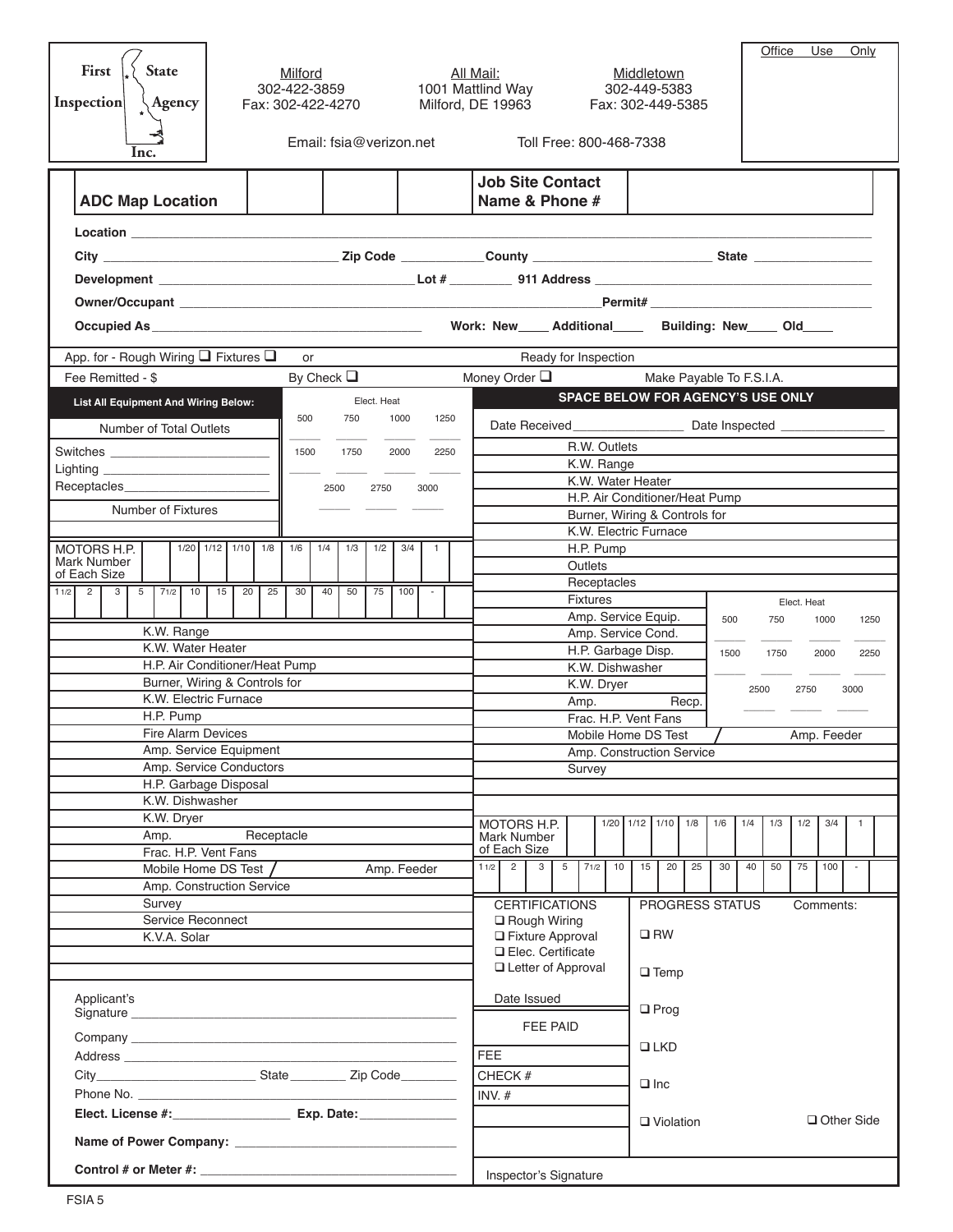| First<br>Inspection                                                                                                                                                                                                                  | <b>State</b>                 | $A$ gency          |  |  | Fax: 302-422-4270              | Milford               |                            | 302-422-3859                                                                           |             |                                           |        |      | All Mail:        | 1001 Mattlind Way<br>Milford, DE 19963                                                     |            |  |              | Middletown<br>302-449-5383<br>Fax: 302-449-5385 |                   |     |                 |     |  | Office     | Use | Only           |  |
|--------------------------------------------------------------------------------------------------------------------------------------------------------------------------------------------------------------------------------------|------------------------------|--------------------|--|--|--------------------------------|-----------------------|----------------------------|----------------------------------------------------------------------------------------|-------------|-------------------------------------------|--------|------|------------------|--------------------------------------------------------------------------------------------|------------|--|--------------|-------------------------------------------------|-------------------|-----|-----------------|-----|--|------------|-----|----------------|--|
| Email: fsia@verizon.net<br>Inc.                                                                                                                                                                                                      |                              |                    |  |  |                                |                       |                            |                                                                                        |             | Toll Free: 800-468-7338                   |        |      |                  |                                                                                            |            |  |              |                                                 |                   |     |                 |     |  |            |     |                |  |
| <b>ADC Map Location</b>                                                                                                                                                                                                              |                              |                    |  |  |                                |                       |                            |                                                                                        |             | <b>Job Site Contact</b><br>Name & Phone # |        |      |                  |                                                                                            |            |  |              |                                                 |                   |     |                 |     |  |            |     |                |  |
| Location <b>Executive Contract Contract Contract Contract Contract Contract Contract Contract Contract Contract Contract Contract Contract Contract Contract Contract Contract Contract Contract Contract Contract Contract Cont</b> |                              |                    |  |  |                                |                       |                            |                                                                                        |             |                                           |        |      |                  |                                                                                            |            |  |              |                                                 |                   |     |                 |     |  |            |     |                |  |
|                                                                                                                                                                                                                                      |                              |                    |  |  |                                |                       |                            |                                                                                        |             |                                           |        |      |                  |                                                                                            |            |  |              |                                                 |                   |     |                 |     |  |            |     |                |  |
| Work: New_____ Additional______ Building: New_____ Old_____                                                                                                                                                                          |                              |                    |  |  |                                |                       |                            |                                                                                        |             |                                           |        |      |                  |                                                                                            |            |  |              |                                                 |                   |     |                 |     |  |            |     |                |  |
| App. for - Rough Wiring □ Fixtures □                                                                                                                                                                                                 |                              |                    |  |  |                                | or                    |                            |                                                                                        |             |                                           |        |      |                  | Ready for Inspection                                                                       |            |  |              |                                                 |                   |     |                 |     |  |            |     |                |  |
| Fee Remitted - \$                                                                                                                                                                                                                    |                              |                    |  |  |                                |                       | By Check $\Box$            |                                                                                        |             |                                           |        |      |                  | Money Order $\Box$<br>Make Payable To F.S.I.A.<br><b>SPACE BELOW FOR AGENCY'S USE ONLY</b> |            |  |              |                                                 |                   |     |                 |     |  |            |     |                |  |
| List All Equipment And Wiring Below:<br>Number of Total Outlets                                                                                                                                                                      |                              |                    |  |  |                                | 500                   |                            | 750                                                                                    | Elect. Heat | 1000                                      |        | 1250 |                  |                                                                                            |            |  |              |                                                 |                   |     |                 |     |  |            |     |                |  |
|                                                                                                                                                                                                                                      |                              |                    |  |  |                                | 1500                  |                            | 1750                                                                                   |             | 2000                                      |        | 2250 |                  | R.W. Outlets                                                                               |            |  |              |                                                 |                   |     |                 |     |  |            |     |                |  |
|                                                                                                                                                                                                                                      |                              |                    |  |  |                                |                       |                            |                                                                                        |             |                                           |        |      |                  | K.W. Range<br>K.W. Water Heater                                                            |            |  |              |                                                 |                   |     |                 |     |  |            |     |                |  |
|                                                                                                                                                                                                                                      |                              |                    |  |  |                                |                       | 2500                       |                                                                                        | 2750        |                                           | 3000   |      |                  | H.P. Air Conditioner/Heat Pump                                                             |            |  |              |                                                 |                   |     |                 |     |  |            |     |                |  |
|                                                                                                                                                                                                                                      | Number of Fixtures           |                    |  |  |                                |                       |                            |                                                                                        |             |                                           |        |      |                  | Burner, Wiring & Controls for                                                              |            |  |              |                                                 |                   |     |                 |     |  |            |     |                |  |
| <b>MOTORS H.P.</b>                                                                                                                                                                                                                   |                              |                    |  |  | $1/20$ $1/12$ $1/10$ $1/8$     | 1/6                   |                            | $1/4$ 1/3<br>3/4<br>1/2<br>$\overline{1}$                                              |             |                                           |        |      |                  | K.W. Electric Furnace<br>H.P. Pump                                                         |            |  |              |                                                 |                   |     |                 |     |  |            |     |                |  |
| Mark Number                                                                                                                                                                                                                          |                              |                    |  |  |                                |                       |                            |                                                                                        |             |                                           |        |      |                  | Outlets                                                                                    |            |  |              |                                                 |                   |     |                 |     |  |            |     |                |  |
| of Each Size<br>$11/2$ 2<br>3                                                                                                                                                                                                        | 5                            | 71/2 10 15         |  |  | 25<br>20                       | 30                    | 40                         | 50                                                                                     |             | 75   100                                  | $\sim$ |      |                  |                                                                                            |            |  | Receptacles  |                                                 |                   |     |                 |     |  |            |     |                |  |
|                                                                                                                                                                                                                                      |                              |                    |  |  |                                |                       |                            |                                                                                        |             |                                           |        |      |                  | <b>Fixtures</b><br>Elect. Heat                                                             |            |  |              |                                                 |                   |     |                 |     |  |            |     |                |  |
|                                                                                                                                                                                                                                      | K.W. Range                   |                    |  |  |                                |                       |                            |                                                                                        |             |                                           |        |      |                  | Amp. Service Equip.<br>500<br>750<br>1000<br>1250<br>Amp. Service Cond.                    |            |  |              |                                                 |                   |     |                 |     |  |            |     |                |  |
|                                                                                                                                                                                                                                      | K.W. Water Heater            |                    |  |  |                                |                       |                            |                                                                                        |             |                                           |        |      |                  | H.P. Garbage Disp.<br>1500<br>1750<br>2000<br>2250                                         |            |  |              |                                                 |                   |     |                 |     |  |            |     |                |  |
|                                                                                                                                                                                                                                      |                              |                    |  |  | H.P. Air Conditioner/Heat Pump |                       |                            |                                                                                        |             |                                           |        |      |                  | K.W. Dishwasher                                                                            |            |  |              |                                                 |                   |     |                 |     |  |            |     |                |  |
|                                                                                                                                                                                                                                      | K.W. Electric Furnace        |                    |  |  | Burner, Wiring & Controls for  |                       |                            |                                                                                        |             |                                           |        |      |                  | K.W. Dryer<br>2500<br>2750<br>3000<br>Amp.<br>Recp.                                        |            |  |              |                                                 |                   |     |                 |     |  |            |     |                |  |
|                                                                                                                                                                                                                                      | H.P. Pump                    |                    |  |  |                                |                       |                            |                                                                                        |             |                                           |        |      |                  | Frac. H.P. Vent Fans                                                                       |            |  |              |                                                 |                   |     |                 |     |  |            |     |                |  |
|                                                                                                                                                                                                                                      |                              | Fire Alarm Devices |  |  |                                |                       |                            |                                                                                        |             |                                           |        |      |                  | Mobile Home DS Test<br>Amp. Feeder                                                         |            |  |              |                                                 |                   |     |                 |     |  |            |     |                |  |
|                                                                                                                                                                                                                                      |                              |                    |  |  | Amp. Service Equipment         |                       |                            |                                                                                        |             |                                           |        |      |                  | Amp. Construction Service                                                                  |            |  |              |                                                 |                   |     |                 |     |  |            |     |                |  |
| Amp. Service Conductors<br>H.P. Garbage Disposal                                                                                                                                                                                     |                              |                    |  |  |                                |                       |                            |                                                                                        | Survey      |                                           |        |      |                  |                                                                                            |            |  |              |                                                 |                   |     |                 |     |  |            |     |                |  |
| K.W. Dishwasher                                                                                                                                                                                                                      |                              |                    |  |  |                                |                       |                            |                                                                                        |             |                                           |        |      |                  |                                                                                            |            |  |              |                                                 |                   |     |                 |     |  |            |     |                |  |
|                                                                                                                                                                                                                                      | K.W. Dryer                   |                    |  |  |                                |                       |                            |                                                                                        |             |                                           |        |      |                  | MOTORS H.P.                                                                                |            |  | 1/20         | 1/12 1/10                                       |                   | 1/8 | 1/6             | 1/4 |  | 1/3<br>1/2 | 3/4 | $\overline{1}$ |  |
|                                                                                                                                                                                                                                      | Amp.<br>Frac. H.P. Vent Fans |                    |  |  |                                | Receptacle            |                            |                                                                                        |             |                                           |        |      |                  | Mark Number<br>of Each Size                                                                |            |  |              |                                                 |                   |     |                 |     |  |            |     |                |  |
|                                                                                                                                                                                                                                      |                              |                    |  |  | Mobile Home DS Test /          |                       |                            |                                                                                        |             | Amp. Feeder                               |        |      |                  | $11/2$ 2                                                                                   | $3 \mid 5$ |  | $71/2$<br>10 | 15                                              | 20                | 25  | 30 <sup>2</sup> | 40  |  | 50<br>75   | 100 | $\sim$         |  |
|                                                                                                                                                                                                                                      |                              |                    |  |  | Amp. Construction Service      |                       |                            |                                                                                        |             |                                           |        |      |                  |                                                                                            |            |  |              |                                                 |                   |     |                 |     |  |            |     |                |  |
|                                                                                                                                                                                                                                      | Survey                       |                    |  |  |                                |                       |                            |                                                                                        |             |                                           |        |      |                  | <b>CERTIFICATIONS</b><br>PROGRESS STATUS<br>Comments:<br>$\Box$ Rough Wiring               |            |  |              |                                                 |                   |     |                 |     |  |            |     |                |  |
| Service Reconnect<br>K.V.A. Solar                                                                                                                                                                                                    |                              |                    |  |  |                                |                       |                            | $\square$ RW<br>□ Fixture Approval<br>$\Box$ Elec. Certificate<br>□ Letter of Approval |             |                                           |        |      |                  |                                                                                            |            |  |              |                                                 |                   |     |                 |     |  |            |     |                |  |
|                                                                                                                                                                                                                                      |                              |                    |  |  |                                |                       |                            |                                                                                        |             |                                           |        |      |                  |                                                                                            |            |  |              |                                                 | $\Box$ Temp       |     |                 |     |  |            |     |                |  |
| Applicant's                                                                                                                                                                                                                          |                              |                    |  |  |                                |                       | Date Issued<br>$\Box$ Prog |                                                                                        |             |                                           |        |      |                  |                                                                                            |            |  |              |                                                 |                   |     |                 |     |  |            |     |                |  |
| FEE PAID                                                                                                                                                                                                                             |                              |                    |  |  |                                |                       |                            |                                                                                        |             |                                           |        |      |                  |                                                                                            |            |  |              |                                                 |                   |     |                 |     |  |            |     |                |  |
|                                                                                                                                                                                                                                      |                              |                    |  |  |                                | ULKD<br>FEE           |                            |                                                                                        |             |                                           |        |      |                  |                                                                                            |            |  |              |                                                 |                   |     |                 |     |  |            |     |                |  |
|                                                                                                                                                                                                                                      |                              |                    |  |  |                                | CHECK #<br>$\Box$ Inc |                            |                                                                                        |             |                                           |        |      |                  |                                                                                            |            |  |              |                                                 |                   |     |                 |     |  |            |     |                |  |
|                                                                                                                                                                                                                                      |                              |                    |  |  |                                |                       |                            | INV. $#$                                                                               |             |                                           |        |      |                  |                                                                                            |            |  |              |                                                 |                   |     |                 |     |  |            |     |                |  |
| Elect. License #: __________________________ Exp. Date: ________________________<br>Name of Power Company: Department of Power Company:                                                                                              |                              |                    |  |  |                                |                       |                            |                                                                                        |             |                                           |        |      | $\Box$ Violation |                                                                                            |            |  |              |                                                 | $\Box$ Other Side |     |                 |     |  |            |     |                |  |
|                                                                                                                                                                                                                                      |                              |                    |  |  |                                |                       |                            |                                                                                        |             |                                           |        |      |                  |                                                                                            |            |  |              |                                                 |                   |     |                 |     |  |            |     |                |  |
|                                                                                                                                                                                                                                      |                              |                    |  |  |                                |                       |                            |                                                                                        |             |                                           |        |      |                  | Inspector's Signature                                                                      |            |  |              |                                                 |                   |     |                 |     |  |            |     |                |  |